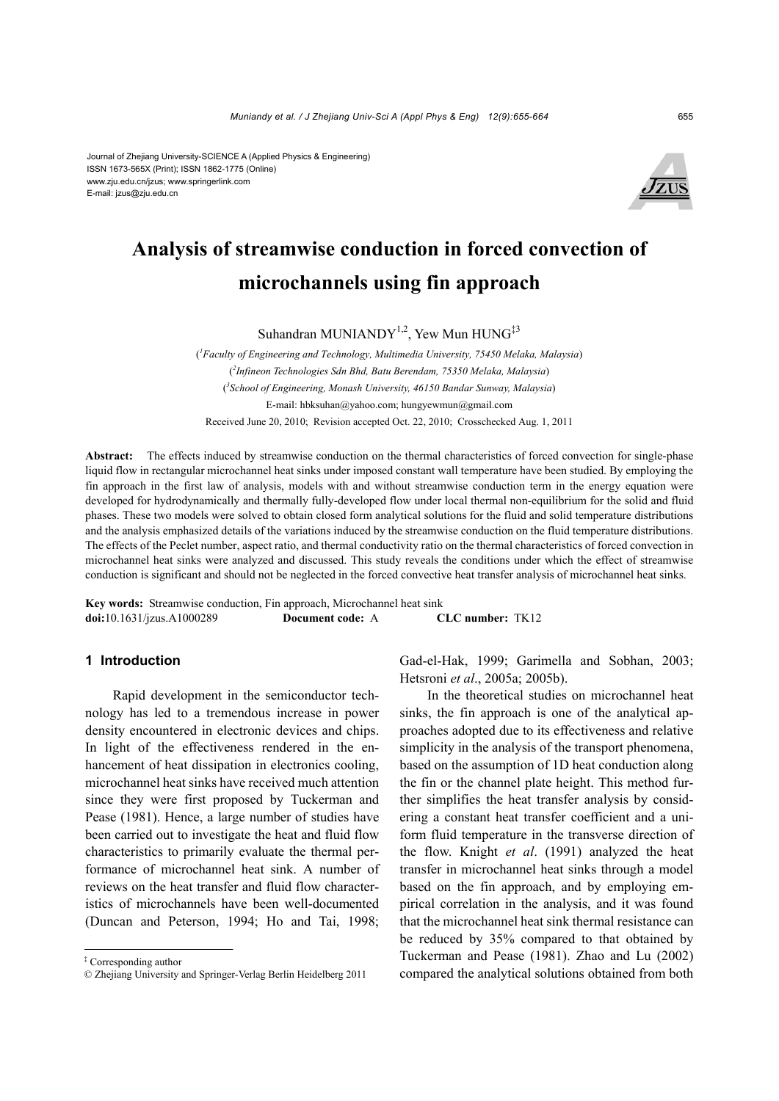#### Journal of Zhejiang University-SCIENCE A (Applied Physics & Engineering) ISSN 1673-565X (Print); ISSN 1862-1775 (Online) www.zju.edu.cn/jzus; www.springerlink.com E-mail: jzus@zju.edu.cn



# **Analysis of streamwise conduction in forced convection of microchannels using fin approach**

Suhandran MUNIANDY<sup>1,2</sup>, Yew Mun HUNG<sup>‡3</sup>

( *1 Faculty of Engineering and Technology, Multimedia University, 75450 Melaka, Malaysia*) ( *2 Infineon Technologies Sdn Bhd, Batu Berendam, 75350 Melaka, Malaysia*) ( *3 School of Engineering, Monash University, 46150 Bandar Sunway, Malaysia*) E-mail: hbksuhan@yahoo.com; hungyewmun@gmail.com Received June 20, 2010; Revision accepted Oct. 22, 2010; Crosschecked Aug. 1, 2011

**Abstract:** The effects induced by streamwise conduction on the thermal characteristics of forced convection for single-phase liquid flow in rectangular microchannel heat sinks under imposed constant wall temperature have been studied. By employing the fin approach in the first law of analysis, models with and without streamwise conduction term in the energy equation were developed for hydrodynamically and thermally fully-developed flow under local thermal non-equilibrium for the solid and fluid phases. These two models were solved to obtain closed form analytical solutions for the fluid and solid temperature distributions and the analysis emphasized details of the variations induced by the streamwise conduction on the fluid temperature distributions. The effects of the Peclet number, aspect ratio, and thermal conductivity ratio on the thermal characteristics of forced convection in microchannel heat sinks were analyzed and discussed. This study reveals the conditions under which the effect of streamwise conduction is significant and should not be neglected in the forced convective heat transfer analysis of microchannel heat sinks.

**Key words:** Streamwise conduction, Fin approach, Microchannel heat sink **doi:**10.1631/jzus.A1000289 **Document code:** A **CLC number:** TK12

# **1 Introduction**

Rapid development in the semiconductor technology has led to a tremendous increase in power density encountered in electronic devices and chips. In light of the effectiveness rendered in the enhancement of heat dissipation in electronics cooling, microchannel heat sinks have received much attention since they were first proposed by Tuckerman and Pease (1981). Hence, a large number of studies have been carried out to investigate the heat and fluid flow characteristics to primarily evaluate the thermal performance of microchannel heat sink. A number of reviews on the heat transfer and fluid flow characteristics of microchannels have been well-documented (Duncan and Peterson, 1994; Ho and Tai, 1998;

Gad-el-Hak, 1999; Garimella and Sobhan, 2003; Hetsroni *et al*., 2005a; 2005b).

In the theoretical studies on microchannel heat sinks, the fin approach is one of the analytical approaches adopted due to its effectiveness and relative simplicity in the analysis of the transport phenomena, based on the assumption of 1D heat conduction along the fin or the channel plate height. This method further simplifies the heat transfer analysis by considering a constant heat transfer coefficient and a uniform fluid temperature in the transverse direction of the flow. Knight *et al*. (1991) analyzed the heat transfer in microchannel heat sinks through a model based on the fin approach, and by employing empirical correlation in the analysis, and it was found that the microchannel heat sink thermal resistance can be reduced by 35% compared to that obtained by Tuckerman and Pease (1981). Zhao and Lu (2002) compared the analytical solutions obtained from both

<sup>‡</sup> Corresponding author

<sup>©</sup> Zhejiang University and Springer-Verlag Berlin Heidelberg 2011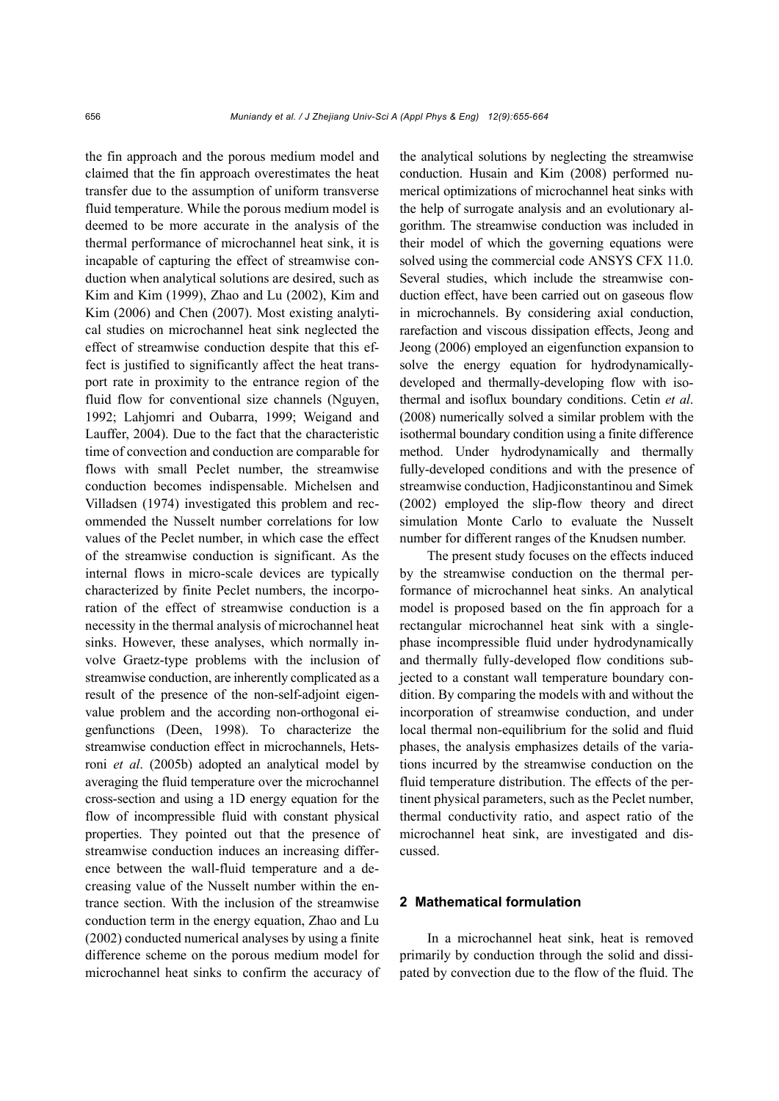the fin approach and the porous medium model and claimed that the fin approach overestimates the heat transfer due to the assumption of uniform transverse fluid temperature. While the porous medium model is deemed to be more accurate in the analysis of the thermal performance of microchannel heat sink, it is incapable of capturing the effect of streamwise conduction when analytical solutions are desired, such as Kim and Kim (1999), Zhao and Lu (2002), Kim and Kim (2006) and Chen (2007). Most existing analytical studies on microchannel heat sink neglected the effect of streamwise conduction despite that this effect is justified to significantly affect the heat transport rate in proximity to the entrance region of the fluid flow for conventional size channels (Nguyen, 1992; Lahjomri and Oubarra, 1999; Weigand and Lauffer, 2004). Due to the fact that the characteristic time of convection and conduction are comparable for flows with small Peclet number, the streamwise conduction becomes indispensable. Michelsen and Villadsen (1974) investigated this problem and recommended the Nusselt number correlations for low values of the Peclet number, in which case the effect of the streamwise conduction is significant. As the internal flows in micro-scale devices are typically characterized by finite Peclet numbers, the incorporation of the effect of streamwise conduction is a necessity in the thermal analysis of microchannel heat sinks. However, these analyses, which normally involve Graetz-type problems with the inclusion of streamwise conduction, are inherently complicated as a result of the presence of the non-self-adjoint eigenvalue problem and the according non-orthogonal eigenfunctions (Deen, 1998). To characterize the streamwise conduction effect in microchannels, Hetsroni *et al*. (2005b) adopted an analytical model by averaging the fluid temperature over the microchannel cross-section and using a 1D energy equation for the flow of incompressible fluid with constant physical properties. They pointed out that the presence of streamwise conduction induces an increasing difference between the wall-fluid temperature and a decreasing value of the Nusselt number within the entrance section. With the inclusion of the streamwise conduction term in the energy equation, Zhao and Lu (2002) conducted numerical analyses by using a finite difference scheme on the porous medium model for microchannel heat sinks to confirm the accuracy of the analytical solutions by neglecting the streamwise conduction. Husain and Kim (2008) performed numerical optimizations of microchannel heat sinks with the help of surrogate analysis and an evolutionary algorithm. The streamwise conduction was included in their model of which the governing equations were solved using the commercial code ANSYS CFX 11.0. Several studies, which include the streamwise conduction effect, have been carried out on gaseous flow in microchannels. By considering axial conduction, rarefaction and viscous dissipation effects, Jeong and Jeong (2006) employed an eigenfunction expansion to solve the energy equation for hydrodynamicallydeveloped and thermally-developing flow with isothermal and isoflux boundary conditions. Cetin *et al*. (2008) numerically solved a similar problem with the isothermal boundary condition using a finite difference method. Under hydrodynamically and thermally fully-developed conditions and with the presence of streamwise conduction, Hadjiconstantinou and Simek (2002) employed the slip-flow theory and direct simulation Monte Carlo to evaluate the Nusselt number for different ranges of the Knudsen number.

The present study focuses on the effects induced by the streamwise conduction on the thermal performance of microchannel heat sinks. An analytical model is proposed based on the fin approach for a rectangular microchannel heat sink with a singlephase incompressible fluid under hydrodynamically and thermally fully-developed flow conditions subjected to a constant wall temperature boundary condition. By comparing the models with and without the incorporation of streamwise conduction, and under local thermal non-equilibrium for the solid and fluid phases, the analysis emphasizes details of the variations incurred by the streamwise conduction on the fluid temperature distribution. The effects of the pertinent physical parameters, such as the Peclet number, thermal conductivity ratio, and aspect ratio of the microchannel heat sink, are investigated and discussed.

# **2 Mathematical formulation**

In a microchannel heat sink, heat is removed primarily by conduction through the solid and dissipated by convection due to the flow of the fluid. The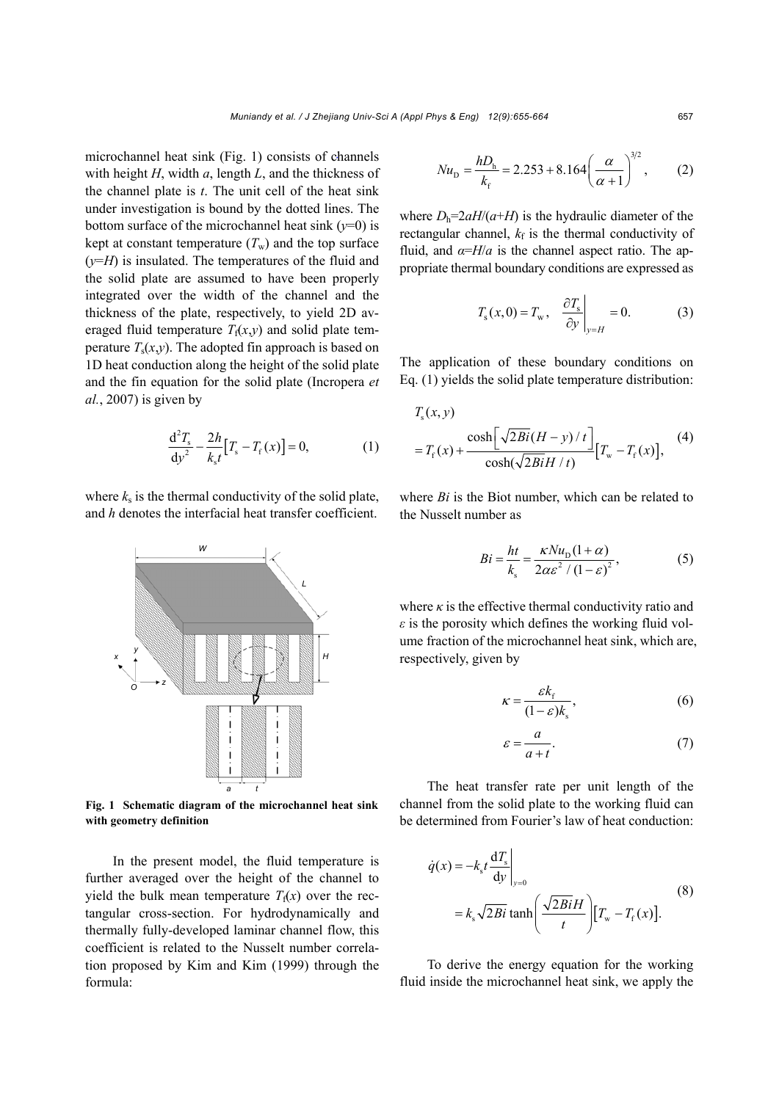microchannel heat sink (Fig. 1) consists of channels with height *H*, width *a*, length *L*, and the thickness of the channel plate is *t*. The unit cell of the heat sink under investigation is bound by the dotted lines. The bottom surface of the microchannel heat sink  $(y=0)$  is kept at constant temperature  $(T_w)$  and the top surface  $(y=H)$  is insulated. The temperatures of the fluid and the solid plate are assumed to have been properly integrated over the width of the channel and the thickness of the plate, respectively, to yield 2D averaged fluid temperature  $T_f(x, y)$  and solid plate temperature  $T_s(x,y)$ . The adopted fin approach is based on 1D heat conduction along the height of the solid plate and the fin equation for the solid plate (Incropera *et al.*, 2007) is given by

$$
\frac{d^2 T_s}{dy^2} - \frac{2h}{k_s t} [T_s - T_f(x)] = 0,
$$
 (1)

where  $k<sub>s</sub>$  is the thermal conductivity of the solid plate, and *h* denotes the interfacial heat transfer coefficient.



**Fig. 1 Schematic diagram of the microchannel heat sink with geometry definition**

In the present model, the fluid temperature is further averaged over the height of the channel to yield the bulk mean temperature  $T_f(x)$  over the rectangular cross-section. For hydrodynamically and thermally fully-developed laminar channel flow, this coefficient is related to the Nusselt number correlation proposed by Kim and Kim (1999) through the formula:

$$
Nu_{\rm D} = \frac{hD_{\rm h}}{k_{\rm f}} = 2.253 + 8.164 \left(\frac{\alpha}{\alpha + 1}\right)^{3/2},\qquad(2)
$$

where  $D_h = 2aH/(a+H)$  is the hydraulic diameter of the rectangular channel,  $k_f$  is the thermal conductivity of fluid, and  $\alpha = H/a$  is the channel aspect ratio. The appropriate thermal boundary conditions are expressed as

$$
T_{\rm s}(x,0) = T_{\rm w}, \quad \frac{\partial T_{\rm s}}{\partial y}\Big|_{y=H} = 0. \tag{3}
$$

The application of these boundary conditions on Eq. (1) yields the solid plate temperature distribution:

$$
T_s(x, y)
$$
  
=  $T_f(x)$  + 
$$
\frac{\cosh[\sqrt{2Bi(H - y)/t}]}{\cosh(\sqrt{2BiH / t})} [T_w - T_f(x)],
$$
 (4)

where *Bi* is the Biot number, which can be related to the Nusselt number as

$$
Bi = \frac{ht}{k_s} = \frac{\kappa N u_{\rm p} (1 + \alpha)}{2\alpha \varepsilon^2 / (1 - \varepsilon)^2},\tag{5}
$$

where  $\kappa$  is the effective thermal conductivity ratio and *ε* is the porosity which defines the working fluid volume fraction of the microchannel heat sink, which are, respectively, given by

$$
\kappa = \frac{\varepsilon k_{\rm f}}{(1 - \varepsilon)k_{\rm s}},\tag{6}
$$

$$
\varepsilon = \frac{a}{a+t}.\tag{7}
$$

The heat transfer rate per unit length of the channel from the solid plate to the working fluid can be determined from Fourier's law of heat conduction:

$$
\dot{q}(x) = -k_s t \frac{dT_s}{dy}\Big|_{y=0}
$$
\n
$$
= k_s \sqrt{2Bi} \tanh\left(\frac{\sqrt{2Bi}H}{t}\right) [T_w - T_f(x)].
$$
\n(8)

To derive the energy equation for the working fluid inside the microchannel heat sink, we apply the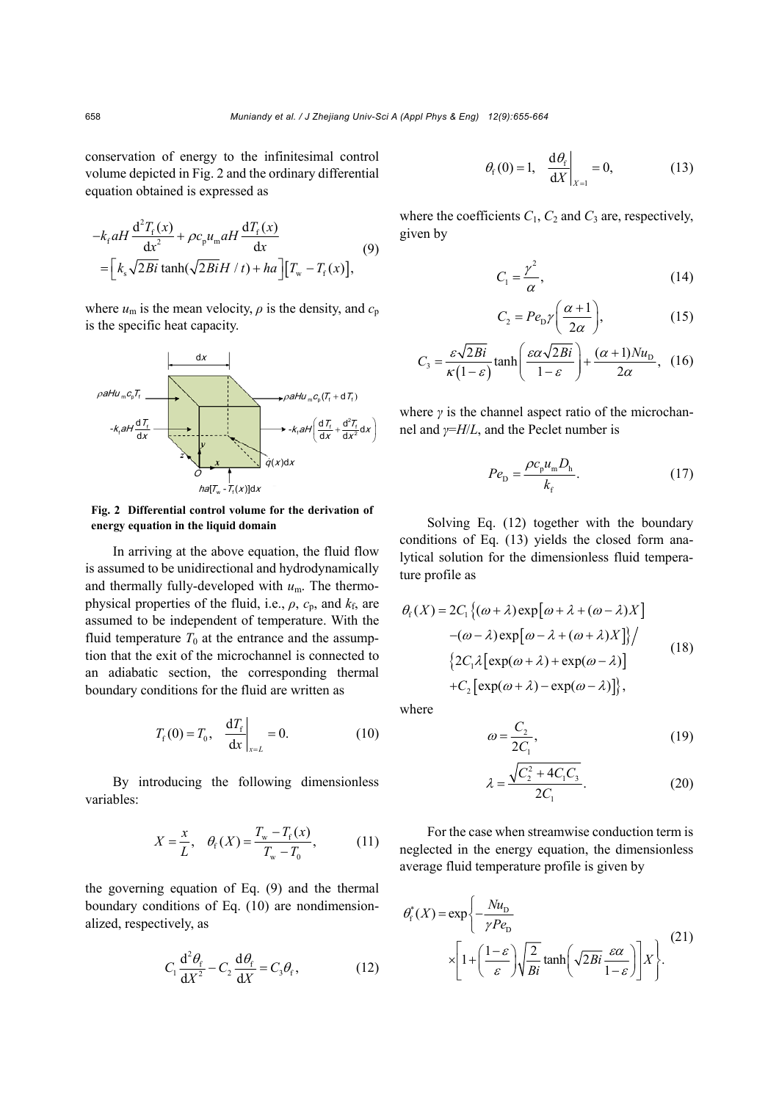conservation of energy to the infinitesimal control volume depicted in Fig. 2 and the ordinary differential equation obtained is expressed as

$$
-k_{\rm f} aH \frac{d^2 T_{\rm f}(x)}{dx^2} + \rho c_{\rm p} u_{\rm m} aH \frac{dT_{\rm f}(x)}{dx}
$$
  
=  $\left[k_{\rm s} \sqrt{2Bi} \tanh(\sqrt{2Bi} H/t) + ha\right] \left[T_{\rm w} - T_{\rm f}(x)\right],$  (9)

where  $u_m$  is the mean velocity,  $\rho$  is the density, and  $c_p$ is the specific heat capacity.



**Fig. 2 Differential control volume for the derivation of energy equation in the liquid domain**

In arriving at the above equation, the fluid flow is assumed to be unidirectional and hydrodynamically and thermally fully-developed with *u*m. The thermophysical properties of the fluid, i.e.,  $\rho$ ,  $c_p$ , and  $k_f$ , are assumed to be independent of temperature. With the fluid temperature  $T_0$  at the entrance and the assumption that the exit of the microchannel is connected to an adiabatic section, the corresponding thermal boundary conditions for the fluid are written as

$$
T_{\rm f}(0) = T_0, \quad \frac{\rm d}T_{\rm f} \Big|_{x=L} = 0. \tag{10}
$$

By introducing the following dimensionless variables:

$$
X = \frac{x}{L}, \quad \theta_{\rm f}(X) = \frac{T_{\rm w} - T_{\rm f}(x)}{T_{\rm w} - T_{\rm 0}},\tag{11}
$$

the governing equation of Eq. (9) and the thermal boundary conditions of Eq. (10) are nondimensionalized, respectively, as

$$
C_1 \frac{d^2 \theta_f}{dX^2} - C_2 \frac{d\theta_f}{dX} = C_3 \theta_f, \qquad (12)
$$

$$
\theta_{\rm f}(0) = 1, \quad \frac{\mathrm{d}\theta_{\rm f}}{\mathrm{d}X}\bigg|_{X=1} = 0, \tag{13}
$$

where the coefficients  $C_1$ ,  $C_2$  and  $C_3$  are, respectively, given by

$$
C_1 = \frac{\gamma^2}{\alpha},\tag{14}
$$

$$
C_2 = Pe_{\rm D} \gamma \bigg( \frac{\alpha + 1}{2\alpha} \bigg),\tag{15}
$$

$$
C_3 = \frac{\varepsilon \sqrt{2Bi}}{\kappa (1 - \varepsilon)} \tanh\left(\frac{\varepsilon \alpha \sqrt{2Bi}}{1 - \varepsilon}\right) + \frac{(\alpha + 1)Nu_{\text{D}}}{2\alpha}, \tag{16}
$$

where *γ* is the channel aspect ratio of the microchannel and *γ*=*H*/*L*, and the Peclet number is

$$
Pe_{\rm D} = \frac{\rho c_{\rm p} u_{\rm m} D_{\rm h}}{k_{\rm f}}.\tag{17}
$$

Solving Eq. (12) together with the boundary conditions of Eq. (13) yields the closed form analytical solution for the dimensionless fluid temperature profile as

$$
\theta_{f}(X) = 2C_{1} \{ (\omega + \lambda) \exp[\omega + \lambda + (\omega - \lambda)X] - (\omega - \lambda) \exp[\omega - \lambda + (\omega + \lambda)X] \} / \n\{ 2C_{1} \lambda [\exp(\omega + \lambda) + \exp(\omega - \lambda)] + C_{2} [\exp(\omega + \lambda) - \exp(\omega - \lambda)] \},
$$
\n(18)

where

$$
\omega = \frac{C_2}{2C_1},\tag{19}
$$

$$
\lambda = \frac{\sqrt{C_2^2 + 4C_1C_3}}{2C_1}.
$$
 (20)

For the case when streamwise conduction term is neglected in the energy equation, the dimensionless average fluid temperature profile is given by

$$
\theta_{\rm f}^*(X) = \exp\left\{-\frac{Nu_{\rm D}}{\gamma Pe_{\rm D}}\right\}
$$

$$
\times \left[1 + \left(\frac{1-\varepsilon}{\varepsilon}\right) \sqrt{\frac{2}{Bi}} \tanh\left(\sqrt{2Bi} \frac{\varepsilon \alpha}{1-\varepsilon}\right)\right] X\right\}.
$$
 (21)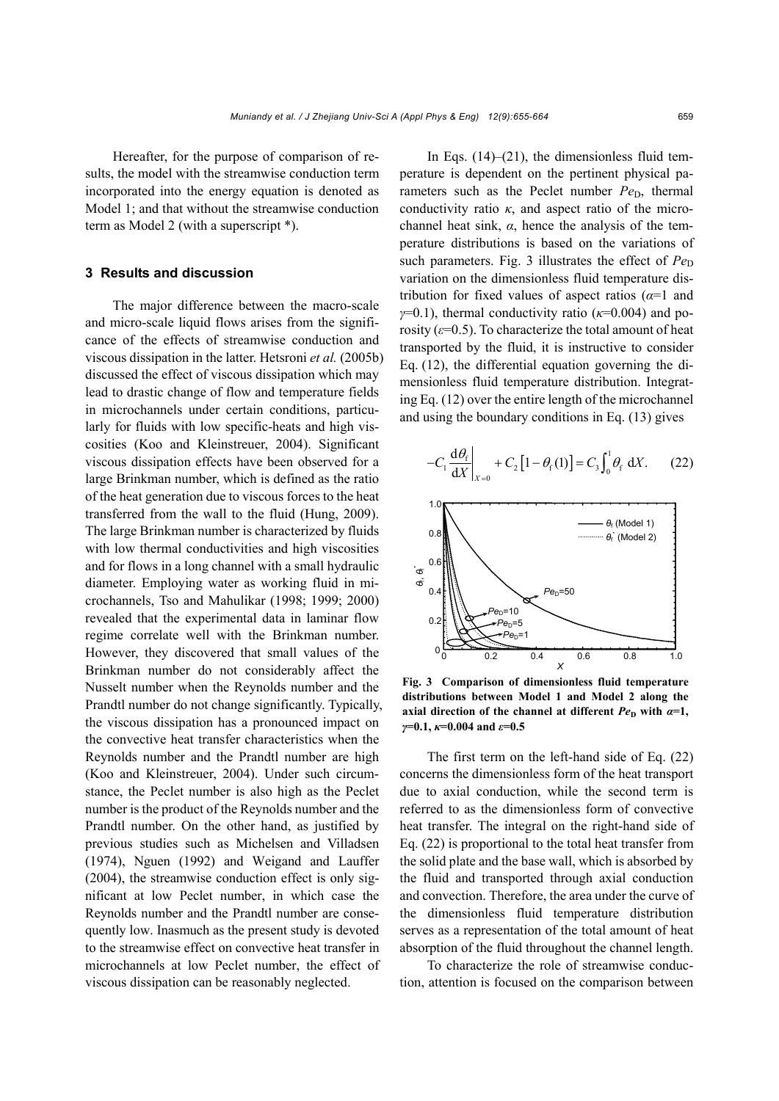Hereafter, for the purpose of comparison of results, the model with the streamwise conduction term incorporated into the energy equation is denoted as Model 1; and that without the streamwise conduction term as Model 2 (with a superscript \*).

# **3 Results and discussion**

The major difference between the macro-scale and micro-scale liquid flows arises from the significance of the effects of streamwise conduction and viscous dissipation in the latter. Hetsroni *et al.* (2005b) discussed the effect of viscous dissipation which may lead to drastic change of flow and temperature fields in microchannels under certain conditions, particularly for fluids with low specific-heats and high viscosities (Koo and Kleinstreuer, 2004). Significant viscous dissipation effects have been observed for a large Brinkman number, which is defined as the ratio of the heat generation due to viscous forces to the heat transferred from the wall to the fluid (Hung, 2009). The large Brinkman number is characterized by fluids with low thermal conductivities and high viscosities and for flows in a long channel with a small hydraulic diameter. Employing water as working fluid in microchannels, Tso and Mahulikar (1998; 1999; 2000) revealed that the experimental data in laminar flow regime correlate well with the Brinkman number. However, they discovered that small values of the Brinkman number do not considerably affect the Nusselt number when the Reynolds number and the Prandtl number do not change significantly. Typically, the viscous dissipation has a pronounced impact on the convective heat transfer characteristics when the Reynolds number and the Prandtl number are high (Koo and Kleinstreuer, 2004). Under such circumstance, the Peclet number is also high as the Peclet number is the product of the Reynolds number and the Prandtl number. On the other hand, as justified by previous studies such as Michelsen and Villadsen (1974), Nguen (1992) and Weigand and Lauffer (2004), the streamwise conduction effect is only significant at low Peclet number, in which case the Reynolds number and the Prandtl number are consequently low. Inasmuch as the present study is devoted to the streamwise effect on convective heat transfer in microchannels at low Peclet number, the effect of viscous dissipation can be reasonably neglected.

In Eqs.  $(14)$ – $(21)$ , the dimensionless fluid temperature is dependent on the pertinent physical parameters such as the Peclet number *Pe*<sub>D</sub>, thermal conductivity ratio *κ*, and aspect ratio of the microchannel heat sink, *α*, hence the analysis of the temperature distributions is based on the variations of such parameters. Fig. 3 illustrates the effect of  $Pe<sub>D</sub>$ variation on the dimensionless fluid temperature distribution for fixed values of aspect ratios (*α*=1 and *γ*=0.1), thermal conductivity ratio (*κ*=0.004) and porosity  $(\varepsilon=0.5)$ . To characterize the total amount of heat transported by the fluid, it is instructive to consider Eq. (12), the differential equation governing the dimensionless fluid temperature distribution. Integrating Eq. (12) over the entire length of the microchannel and using the boundary conditions in Eq. (13) gives

$$
-C_1 \frac{\mathrm{d}\theta_{\mathrm{f}}}{\mathrm{d}X}\bigg|_{X=0} + C_2 \left[1 - \theta_{\mathrm{f}}(1)\right] = C_3 \int_0^1 \theta_{\mathrm{f}} \mathrm{d}X. \tag{22}
$$



**Fig. 3 Comparison of dimensionless fluid temperature distributions between Model 1 and Model 2 along the axial direction of the channel at different**  $Pe<sub>D</sub>$  **with**  $\alpha=1$ **,** *γ***=0.1,** *κ***=0.004 and** *ε***=0.5**

The first term on the left-hand side of Eq. (22) concerns the dimensionless form of the heat transport due to axial conduction, while the second term is referred to as the dimensionless form of convective heat transfer. The integral on the right-hand side of Eq. (22) is proportional to the total heat transfer from the solid plate and the base wall, which is absorbed by the fluid and transported through axial conduction and convection. Therefore, the area under the curve of the dimensionless fluid temperature distribution serves as a representation of the total amount of heat absorption of the fluid throughout the channel length.

To characterize the role of streamwise conduction, attention is focused on the comparison between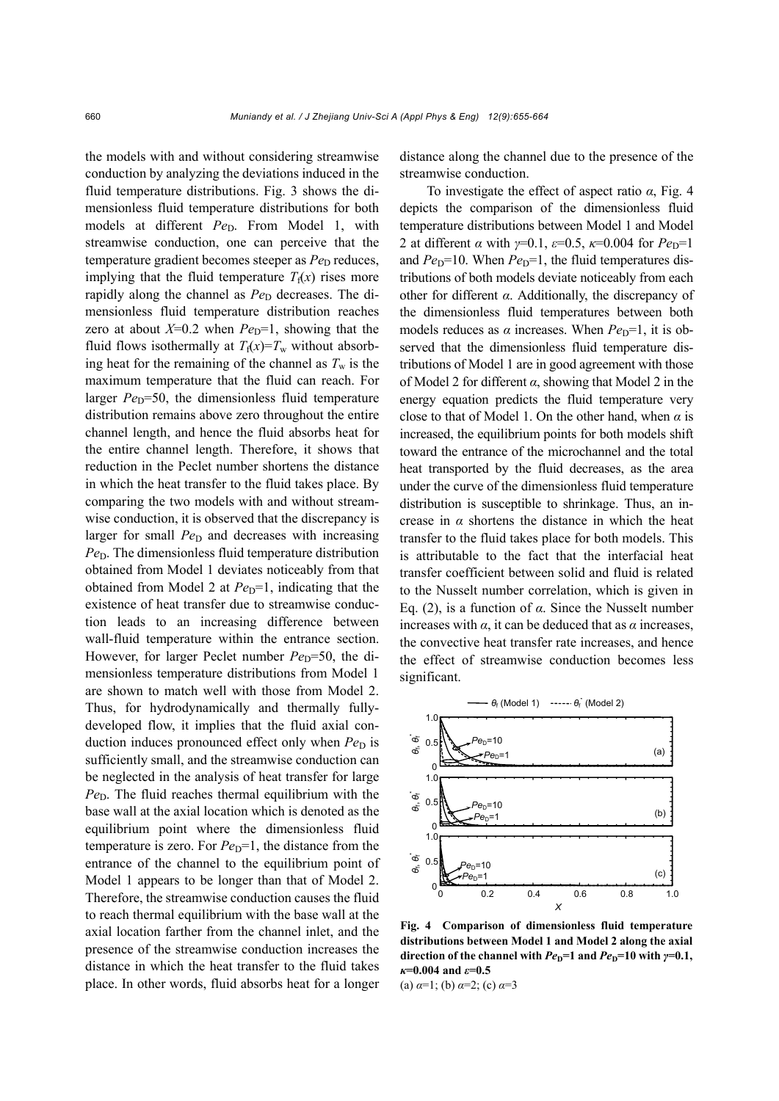the models with and without considering streamwise conduction by analyzing the deviations induced in the fluid temperature distributions. Fig. 3 shows the dimensionless fluid temperature distributions for both models at different *Pe*<sub>D</sub>. From Model 1, with streamwise conduction, one can perceive that the temperature gradient becomes steeper as *Pe*<sub>D</sub> reduces, implying that the fluid temperature  $T_f(x)$  rises more rapidly along the channel as  $Pe<sub>D</sub>$  decreases. The dimensionless fluid temperature distribution reaches zero at about  $X=0.2$  when  $Pe<sub>D</sub>=1$ , showing that the fluid flows isothermally at  $T_f(x)=T_w$  without absorbing heat for the remaining of the channel as  $T_w$  is the maximum temperature that the fluid can reach. For larger  $Pe<sub>D</sub>=50$ , the dimensionless fluid temperature distribution remains above zero throughout the entire channel length, and hence the fluid absorbs heat for the entire channel length. Therefore, it shows that reduction in the Peclet number shortens the distance in which the heat transfer to the fluid takes place. By comparing the two models with and without streamwise conduction, it is observed that the discrepancy is larger for small  $Pe<sub>D</sub>$  and decreases with increasing *Pe*<sub>D</sub>. The dimensionless fluid temperature distribution obtained from Model 1 deviates noticeably from that obtained from Model 2 at  $Pe<sub>D</sub>=1$ , indicating that the existence of heat transfer due to streamwise conduction leads to an increasing difference between wall-fluid temperature within the entrance section. However, for larger Peclet number *Pe*<sub>D</sub>=50, the dimensionless temperature distributions from Model 1 are shown to match well with those from Model 2. Thus, for hydrodynamically and thermally fullydeveloped flow, it implies that the fluid axial conduction induces pronounced effect only when *Pe*<sub>D</sub> is sufficiently small, and the streamwise conduction can be neglected in the analysis of heat transfer for large  $Pe<sub>D</sub>$ . The fluid reaches thermal equilibrium with the base wall at the axial location which is denoted as the equilibrium point where the dimensionless fluid temperature is zero. For  $Pe<sub>D</sub>=1$ , the distance from the entrance of the channel to the equilibrium point of Model 1 appears to be longer than that of Model 2. Therefore, the streamwise conduction causes the fluid to reach thermal equilibrium with the base wall at the axial location farther from the channel inlet, and the presence of the streamwise conduction increases the distance in which the heat transfer to the fluid takes place. In other words, fluid absorbs heat for a longer distance along the channel due to the presence of the streamwise conduction.

To investigate the effect of aspect ratio *α*, Fig. 4 depicts the comparison of the dimensionless fluid temperature distributions between Model 1 and Model 2 at different  $\alpha$  with  $\gamma=0.1$ ,  $\varepsilon=0.5$ ,  $\kappa=0.004$  for  $Pe<sub>D</sub>=1$ and  $Pe<sub>D</sub>=10$ . When  $Pe<sub>D</sub>=1$ , the fluid temperatures distributions of both models deviate noticeably from each other for different *α*. Additionally, the discrepancy of the dimensionless fluid temperatures between both models reduces as  $\alpha$  increases. When  $Pe<sub>D</sub>=1$ , it is observed that the dimensionless fluid temperature distributions of Model 1 are in good agreement with those of Model 2 for different *α*, showing that Model 2 in the energy equation predicts the fluid temperature very close to that of Model 1. On the other hand, when *α* is increased, the equilibrium points for both models shift toward the entrance of the microchannel and the total heat transported by the fluid decreases, as the area under the curve of the dimensionless fluid temperature distribution is susceptible to shrinkage. Thus, an increase in  $\alpha$  shortens the distance in which the heat transfer to the fluid takes place for both models. This is attributable to the fact that the interfacial heat transfer coefficient between solid and fluid is related to the Nusselt number correlation, which is given in Eq. (2), is a function of *α*. Since the Nusselt number increases with  $\alpha$ , it can be deduced that as  $\alpha$  increases, the convective heat transfer rate increases, and hence the effect of streamwise conduction becomes less significant.



**Fig. 4 Comparison of dimensionless fluid temperature distributions between Model 1 and Model 2 along the axial direction of the channel with**  $Pe_p$ **=1 and**  $Pe_p$ **=10 with**  $\gamma$ **=0.1,** *κ***=0.004 and** *ε***=0.5**  (a) *α*=1; (b) *α*=2; (c) *α*=3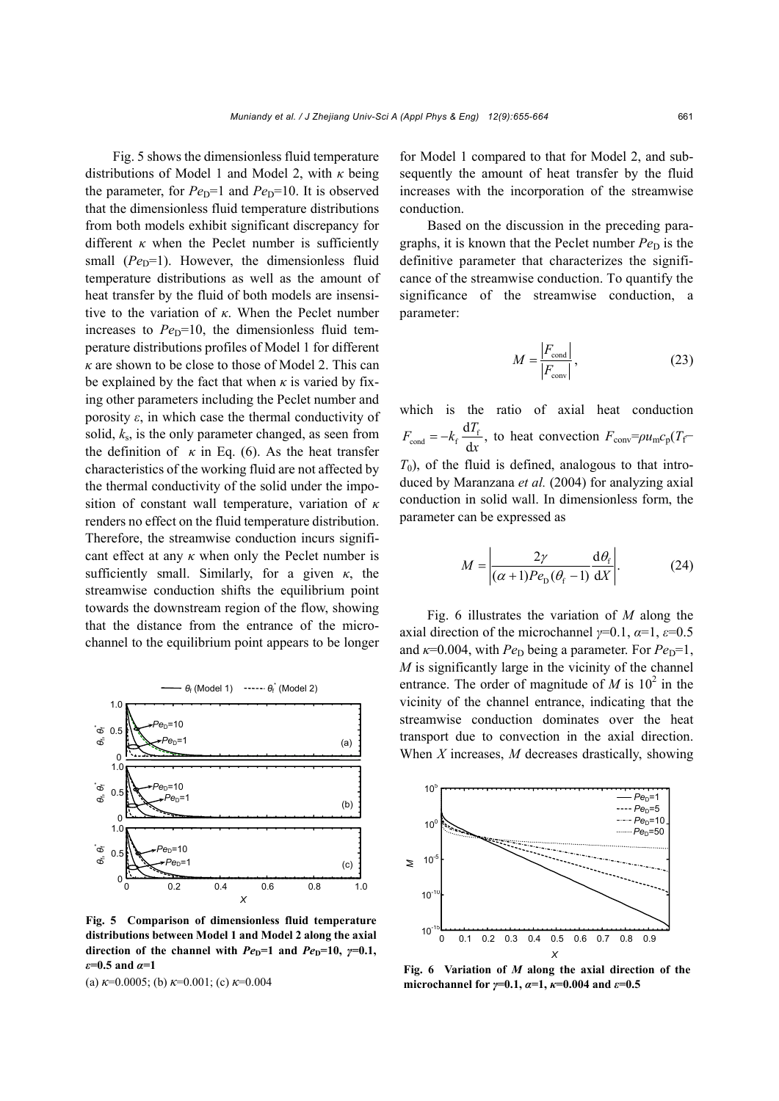Fig. 5 shows the dimensionless fluid temperature distributions of Model 1 and Model 2, with *κ* being the parameter, for  $Pe<sub>D</sub>=1$  and  $Pe<sub>D</sub>=10$ . It is observed that the dimensionless fluid temperature distributions from both models exhibit significant discrepancy for different  $\kappa$  when the Peclet number is sufficiently small  $(Pe_D=1)$ . However, the dimensionless fluid temperature distributions as well as the amount of heat transfer by the fluid of both models are insensitive to the variation of *κ*. When the Peclet number increases to  $Pe<sub>D</sub>=10$ , the dimensionless fluid temperature distributions profiles of Model 1 for different *κ* are shown to be close to those of Model 2. This can be explained by the fact that when  $\kappa$  is varied by fixing other parameters including the Peclet number and porosity  $\varepsilon$ , in which case the thermal conductivity of solid, *k*s, is the only parameter changed, as seen from the definition of  $\kappa$  in Eq. (6). As the heat transfer characteristics of the working fluid are not affected by the thermal conductivity of the solid under the imposition of constant wall temperature, variation of *κ* renders no effect on the fluid temperature distribution. Therefore, the streamwise conduction incurs significant effect at any  $\kappa$  when only the Peclet number is sufficiently small. Similarly, for a given *κ*, the streamwise conduction shifts the equilibrium point towards the downstream region of the flow, showing that the distance from the entrance of the microchannel to the equilibrium point appears to be longer



**Fig. 5 Comparison of dimensionless fluid temperature distributions between Model 1 and Model 2 along the axial**  direction of the channel with  $Pe<sub>D</sub>=1$  and  $Pe<sub>D</sub>=10$ ,  $\gamma=0.1$ , *ε***=0.5 and** *α***=1** 

(a) *κ*=0.0005; (b) *κ*=0.001; (c) *κ*=0.004

for Model 1 compared to that for Model 2, and subsequently the amount of heat transfer by the fluid increases with the incorporation of the streamwise conduction.

Based on the discussion in the preceding paragraphs, it is known that the Peclet number  $Pe<sub>D</sub>$  is the definitive parameter that characterizes the significance of the streamwise conduction. To quantify the significance of the streamwise conduction, a parameter:

$$
M = \frac{|F_{\text{cond}}|}{|F_{\text{conv}}|},\tag{23}
$$

which is the ratio of axial heat conduction  $F_{\text{cond}} = -k_f \frac{dT_f}{dx}$ , to heat convection  $F_{\text{conv}} = \rho u_{\text{m}} c_p (T_f T_0$ ), of the fluid is defined, analogous to that introduced by Maranzana *et al.* (2004) for analyzing axial conduction in solid wall. In dimensionless form, the parameter can be expressed as

$$
M = \left| \frac{2\gamma}{(\alpha + 1)Pe_{\rm D}(\theta_{\rm f} - 1)} \frac{\mathrm{d}\theta_{\rm f}}{\mathrm{d}X} \right|.
$$
 (24)

Fig. 6 illustrates the variation of *M* along the axial direction of the microchannel *γ*=0.1, *α*=1, *ε*=0.5 and  $\kappa$ =0.004, with *Pe*<sub>D</sub> being a parameter. For *Pe*<sub>D</sub>=1, *M* is significantly large in the vicinity of the channel entrance. The order of magnitude of *M* is  $10^2$  in the vicinity of the channel entrance, indicating that the streamwise conduction dominates over the heat transport due to convection in the axial direction. When *X* increases, *M* decreases drastically, showing



**Fig. 6 Variation of** *M* **along the axial direction of the microchannel for** *γ***=0.1,** *α***=1,** *κ***=0.004 and** *ε***=0.5**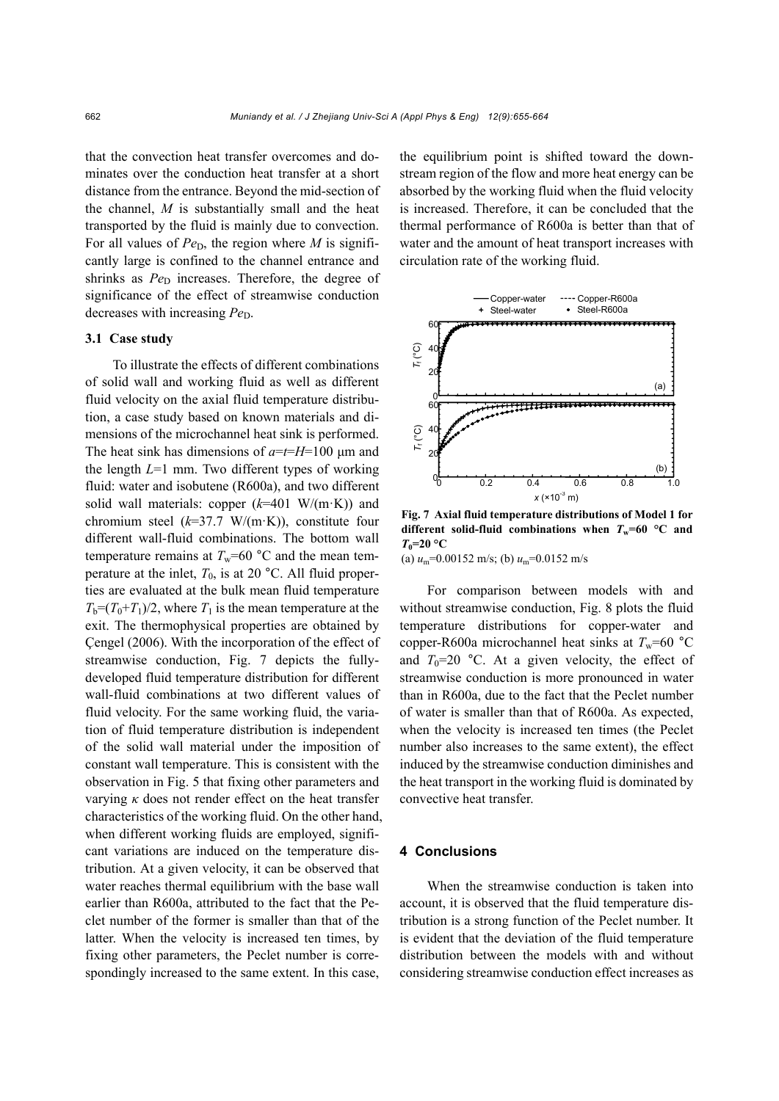that the convection heat transfer overcomes and dominates over the conduction heat transfer at a short distance from the entrance. Beyond the mid-section of the channel, *M* is substantially small and the heat transported by the fluid is mainly due to convection. For all values of  $Pe<sub>D</sub>$ , the region where *M* is significantly large is confined to the channel entrance and shrinks as *Pe*<sub>D</sub> increases. Therefore, the degree of significance of the effect of streamwise conduction decreases with increasing  $Pe<sub>D</sub>$ .

# **3.1 Case study**

To illustrate the effects of different combinations of solid wall and working fluid as well as different fluid velocity on the axial fluid temperature distribution, a case study based on known materials and dimensions of the microchannel heat sink is performed. The heat sink has dimensions of *a*=*t*=*H*=100 μm and the length *L*=1 mm. Two different types of working fluid: water and isobutene (R600a), and two different solid wall materials: copper (*k*=401 W/(m·K)) and chromium steel (*k*=37.7 W/(m·K)), constitute four different wall-fluid combinations. The bottom wall temperature remains at  $T_w$ =60 °C and the mean temperature at the inlet,  $T_0$ , is at 20 °C. All fluid properties are evaluated at the bulk mean fluid temperature  $T_b=(T_0+T_1)/2$ , where  $T_1$  is the mean temperature at the exit. The thermophysical properties are obtained by Çengel (2006). With the incorporation of the effect of streamwise conduction, Fig. 7 depicts the fullydeveloped fluid temperature distribution for different wall-fluid combinations at two different values of fluid velocity. For the same working fluid, the variation of fluid temperature distribution is independent of the solid wall material under the imposition of constant wall temperature. This is consistent with the observation in Fig. 5 that fixing other parameters and varying  $\kappa$  does not render effect on the heat transfer characteristics of the working fluid. On the other hand, when different working fluids are employed, significant variations are induced on the temperature distribution. At a given velocity, it can be observed that water reaches thermal equilibrium with the base wall earlier than R600a, attributed to the fact that the Peclet number of the former is smaller than that of the latter. When the velocity is increased ten times, by fixing other parameters, the Peclet number is correspondingly increased to the same extent. In this case,

the equilibrium point is shifted toward the downstream region of the flow and more heat energy can be absorbed by the working fluid when the fluid velocity is increased. Therefore, it can be concluded that the thermal performance of R600a is better than that of water and the amount of heat transport increases with circulation rate of the working fluid.



**Fig. 7 Axial fluid temperature distributions of Model 1 for different solid-fluid combinations when**  $T_w=60$  **°C and**  $T_0$ =20 °C

(a)  $u_m$ =0.00152 m/s; (b)  $u_m$ =0.0152 m/s

For comparison between models with and without streamwise conduction, Fig. 8 plots the fluid temperature distributions for copper-water and copper-R600a microchannel heat sinks at  $T_w$ =60 °C and  $T_0=20$  °C. At a given velocity, the effect of streamwise conduction is more pronounced in water than in R600a, due to the fact that the Peclet number of water is smaller than that of R600a. As expected, when the velocity is increased ten times (the Peclet number also increases to the same extent), the effect induced by the streamwise conduction diminishes and the heat transport in the working fluid is dominated by convective heat transfer.

### **4 Conclusions**

When the streamwise conduction is taken into account, it is observed that the fluid temperature distribution is a strong function of the Peclet number. It is evident that the deviation of the fluid temperature distribution between the models with and without considering streamwise conduction effect increases as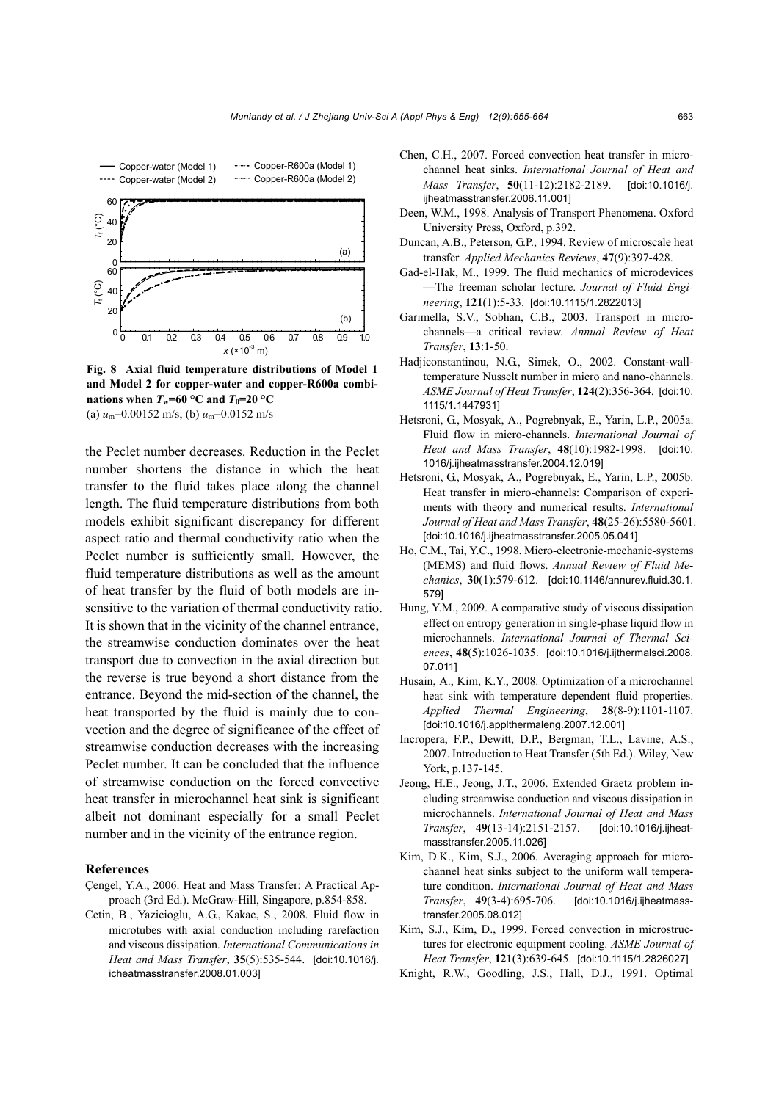

**Fig. 8 Axial fluid temperature distributions of Model 1 and Model 2 for copper-water and copper-R600a combinations when**  $T_w=60$  **°C and**  $T_0=20$  **°C** (a)  $u_m$ =0.00152 m/s; (b)  $u_m$ =0.0152 m/s

the Peclet number decreases. Reduction in the Peclet number shortens the distance in which the heat transfer to the fluid takes place along the channel length. The fluid temperature distributions from both models exhibit significant discrepancy for different aspect ratio and thermal conductivity ratio when the Peclet number is sufficiently small. However, the fluid temperature distributions as well as the amount of heat transfer by the fluid of both models are insensitive to the variation of thermal conductivity ratio. It is shown that in the vicinity of the channel entrance, the streamwise conduction dominates over the heat transport due to convection in the axial direction but the reverse is true beyond a short distance from the entrance. Beyond the mid-section of the channel, the heat transported by the fluid is mainly due to convection and the degree of significance of the effect of streamwise conduction decreases with the increasing Peclet number. It can be concluded that the influence of streamwise conduction on the forced convective heat transfer in microchannel heat sink is significant albeit not dominant especially for a small Peclet number and in the vicinity of the entrance region.

## **References**

- Çengel, Y.A., 2006. Heat and Mass Transfer: A Practical Approach (3rd Ed.). McGraw-Hill, Singapore, p.854-858.
- Cetin, B., Yazicioglu, A.G., Kakac, S., 2008. Fluid flow in microtubes with axial conduction including rarefaction and viscous dissipation. *International Communications in Heat and Mass Transfer*, **35**(5):535-544. [doi:10.1016/j. icheatmasstransfer.2008.01.003]
- Chen, C.H., 2007. Forced convection heat transfer in microchannel heat sinks. *International Journal of Heat and Mass Transfer*, **50**(11-12):2182-2189. [doi:10.1016/j. ijheatmasstransfer.2006.11.0011
- Deen, W.M., 1998. Analysis of Transport Phenomena. Oxford University Press, Oxford, p.392.
- Duncan, A.B., Peterson, G.P., 1994. Review of microscale heat transfer. *Applied Mechanics Reviews*, **47**(9):397-428.
- Gad-el-Hak, M., 1999. The fluid mechanics of microdevices —The freeman scholar lecture. *Journal of Fluid Engineering*, **121**(1):5-33. [doi:10.1115/1.2822013]
- Garimella, S.V., Sobhan, C.B., 2003. Transport in microchannels—a critical review. *Annual Review of Heat Transfer*, **13**:1-50.
- Hadjiconstantinou, N.G., Simek, O., 2002. Constant-walltemperature Nusselt number in micro and nano-channels. *ASME Journal of Heat Transfer*, **124**(2):356-364. [doi:10. 1115/1.1447931]
- Hetsroni, G., Mosyak, A., Pogrebnyak, E., Yarin, L.P., 2005a. Fluid flow in micro-channels. *International Journal of Heat and Mass Transfer*, **48**(10):1982-1998. [doi:10. 1016/j.ijheatmasstransfer.2004.12.019]
- Hetsroni, G., Mosyak, A., Pogrebnyak, E., Yarin, L.P., 2005b. Heat transfer in micro-channels: Comparison of experiments with theory and numerical results. *International Journal of Heat and Mass Transfer*, **48**(25-26):5580-5601. [doi:10.1016/j.ijheatmasstransfer.2005.05.041]
- Ho, C.M., Tai, Y.C., 1998. Micro-electronic-mechanic-systems (MEMS) and fluid flows. *Annual Review of Fluid Mechanics*, **30**(1):579-612. [doi:10.1146/annurev.fluid.30.1. 579]
- Hung, Y.M., 2009. A comparative study of viscous dissipation effect on entropy generation in single-phase liquid flow in microchannels. *International Journal of Thermal Sciences*, **48**(5):1026-1035. [doi:10.1016/j.ijthermalsci.2008. 07.011]
- Husain, A., Kim, K.Y., 2008. Optimization of a microchannel heat sink with temperature dependent fluid properties. *Applied Thermal Engineering*, **28**(8-9):1101-1107. [doi:10.1016/j.applthermaleng.2007.12.001]
- Incropera, F.P., Dewitt, D.P., Bergman, T.L., Lavine, A.S., 2007. Introduction to Heat Transfer (5th Ed.). Wiley, New York, p.137-145.
- Jeong, H.E., Jeong, J.T., 2006. Extended Graetz problem including streamwise conduction and viscous dissipation in microchannels. *International Journal of Heat and Mass Transfer*, **49**(13-14):2151-2157. [doi:10.1016/j.ijheatmasstransfer.2005.11.026]
- Kim, D.K., Kim, S.J., 2006. Averaging approach for microchannel heat sinks subject to the uniform wall temperature condition. *International Journal of Heat and Mass Transfer*, **49**(3-4):695-706. [doi:10.1016/j.ijheatmasstransfer.2005.08.012]
- Kim, S.J., Kim, D., 1999. Forced convection in microstructures for electronic equipment cooling. *ASME Journal of Heat Transfer*, **121**(3):639-645. [doi:10.1115/1.2826027]
- Knight, R.W., Goodling, J.S., Hall, D.J., 1991. Optimal